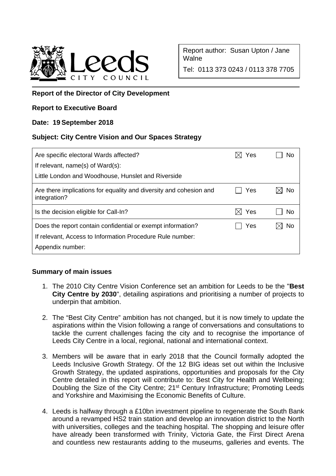

Report author: Susan Upton / Jane **Walne** 

Tel: 0113 373 0243 / 0113 378 7705

## **Report of the Director of City Development**

### **Report to Executive Board**

### **Date: 19 September 2018**

### **Subject: City Centre Vision and Our Spaces Strategy**

| No                |
|-------------------|
| No                |
| No                |
| Yes<br>Yes<br>Yes |

# **Summary of main issues**

- 1. The 2010 City Centre Vision Conference set an ambition for Leeds to be the "**Best City Centre by 2030**", detailing aspirations and prioritising a number of projects to underpin that ambition.
- 2. The "Best City Centre" ambition has not changed, but it is now timely to update the aspirations within the Vision following a range of conversations and consultations to tackle the current challenges facing the city and to recognise the importance of Leeds City Centre in a local, regional, national and international context.
- 3. Members will be aware that in early 2018 that the Council formally adopted the Leeds Inclusive Growth Strategy. Of the 12 BIG ideas set out within the Inclusive Growth Strategy, the updated aspirations, opportunities and proposals for the City Centre detailed in this report will contribute to: Best City for Health and Wellbeing; Doubling the Size of the City Centre; 21<sup>st</sup> Century Infrastructure; Promoting Leeds and Yorkshire and Maximising the Economic Benefits of Culture.
- 4. Leeds is halfway through a £10bn investment pipeline to regenerate the South Bank around a revamped HS2 train station and develop an innovation district to the North with universities, colleges and the teaching hospital. The shopping and leisure offer have already been transformed with Trinity, Victoria Gate, the First Direct Arena and countless new restaurants adding to the museums, galleries and events. The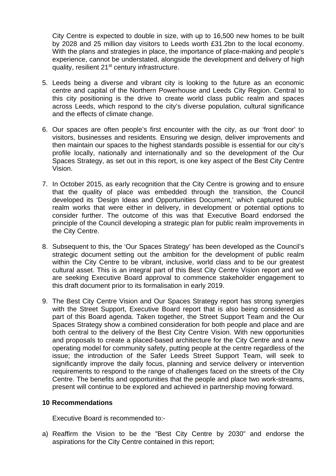City Centre is expected to double in size, with up to 16,500 new homes to be built by 2028 and 25 million day visitors to Leeds worth £31.2bn to the local economy. With the plans and strategies in place, the importance of place-making and people's experience, cannot be understated, alongside the development and delivery of high quality, resilient 21<sup>st</sup> century infrastructure.

- 5. Leeds being a diverse and vibrant city is looking to the future as an economic centre and capital of the Northern Powerhouse and Leeds City Region. Central to this city positioning is the drive to create world class public realm and spaces across Leeds, which respond to the city's diverse population, cultural significance and the effects of climate change.
- 6. Our spaces are often people's first encounter with the city, as our 'front door' to visitors, businesses and residents. Ensuring we design, deliver improvements and then maintain our spaces to the highest standards possible is essential for our city's profile locally, nationally and internationally and so the development of the Our Spaces Strategy, as set out in this report, is one key aspect of the Best City Centre Vision.
- 7. In October 2015, as early recognition that the City Centre is growing and to ensure that the quality of place was embedded through the transition, the Council developed its 'Design Ideas and Opportunities Document,' which captured public realm works that were either in delivery, in development or potential options to consider further. The outcome of this was that Executive Board endorsed the principle of the Council developing a strategic plan for public realm improvements in the City Centre.
- 8. Subsequent to this, the 'Our Spaces Strategy' has been developed as the Council's strategic document setting out the ambition for the development of public realm within the City Centre to be vibrant, inclusive, world class and to be our greatest cultural asset. This is an integral part of this Best City Centre Vision report and we are seeking Executive Board approval to commence stakeholder engagement to this draft document prior to its formalisation in early 2019.
- 9. The Best City Centre Vision and Our Spaces Strategy report has strong synergies with the Street Support, Executive Board report that is also being considered as part of this Board agenda. Taken together, the Street Support Team and the Our Spaces Strategy show a combined consideration for both people and place and are both central to the delivery of the Best City Centre Vision. With new opportunities and proposals to create a placed-based architecture for the City Centre and a new operating model for community safety, putting people at the centre regardless of the issue; the introduction of the Safer Leeds Street Support Team, will seek to significantly improve the daily focus, planning and service delivery or intervention requirements to respond to the range of challenges faced on the streets of the City Centre. The benefits and opportunities that the people and place two work-streams, present will continue to be explored and achieved in partnership moving forward.

#### **10 Recommendations**

Executive Board is recommended to:-

a) Reaffirm the Vision to be the "Best City Centre by 2030" and endorse the aspirations for the City Centre contained in this report;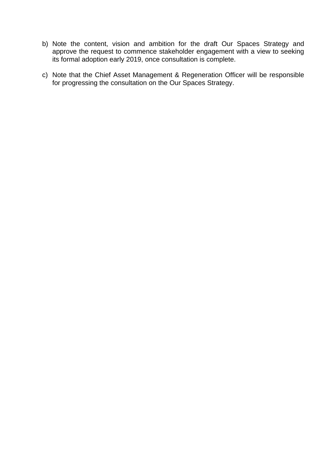- b) Note the content, vision and ambition for the draft Our Spaces Strategy and approve the request to commence stakeholder engagement with a view to seeking its formal adoption early 2019, once consultation is complete.
- c) Note that the Chief Asset Management & Regeneration Officer will be responsible for progressing the consultation on the Our Spaces Strategy.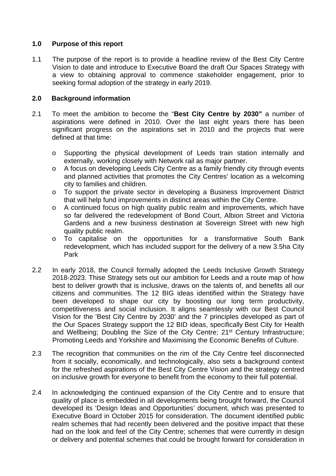### **1.0 Purpose of this report**

1.1 The purpose of the report is to provide a headline review of the Best City Centre Vision to date and introduce to Executive Board the draft Our Spaces Strategy with a view to obtaining approval to commence stakeholder engagement, prior to seeking formal adoption of the strategy in early 2019.

## **2.0 Background information**

- 2.1 To meet the ambition to become the "**Best City Centre by 2030"** a number of aspirations were defined in 2010. Over the last eight years there has been significant progress on the aspirations set in 2010 and the projects that were defined at that time:
	- o Supporting the physical development of Leeds train station internally and externally, working closely with Network rail as major partner.
	- o A focus on developing Leeds City Centre as a family friendly city through events and planned activities that promotes the City Centres' location as a welcoming city to families and children.
	- o To support the private sector in developing a Business Improvement District that will help fund improvements in distinct areas within the City Centre.
	- o A continued focus on high quality public realm and improvements, which have so far delivered the redevelopment of Bond Court, Albion Street and Victoria Gardens and a new business destination at Sovereign Street with new high quality public realm.
	- o To capitalise on the opportunities for a transformative South Bank redevelopment, which has included support for the delivery of a new 3.5ha City Park
- 2.2 In early 2018, the Council formally adopted the Leeds Inclusive Growth Strategy 2018-2023. Thise Strategy sets out our ambition for Leeds and a route map of how best to deliver growth that is inclusive, draws on the talents of, and benefits all our citizens and communities. The 12 BIG ideas identified within the Strategy have been developed to shape our city by boosting our long term productivity, competitiveness and social inclusion. It aligns seamlessly with our Best Council Vision for the 'Best City Centre by 2030' and the 7 principles developed as part of the Our Spaces Strategy support the 12 BID ideas, specifically Best City for Health and Wellbeing; Doubling the Size of the City Centre; 21<sup>st</sup> Century Infrastructure; Promoting Leeds and Yorkshire and Maximising the Economic Benefits of Culture.
- 2.3 The recognition that communities on the rim of the City Centre feel disconnected from it socially, economically, and technologically, also sets a background context for the refreshed aspirations of the Best City Centre Vision and the strategy centred on inclusive growth for everyone to benefit from the economy to their full potential.
- 2.4 In acknowledging the continued expansion of the City Centre and to ensure that quality of place is embedded in all developments being brought forward, the Council developed its 'Design Ideas and Opportunities' document, which was presented to Executive Board in October 2015 for consideration. The document identified public realm schemes that had recently been delivered and the positive impact that these had on the look and feel of the City Centre; schemes that were currently in design or delivery and potential schemes that could be brought forward for consideration in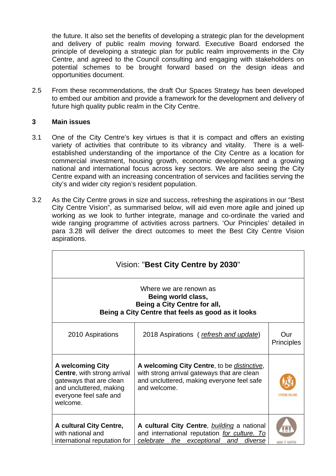the future. It also set the benefits of developing a strategic plan for the development and delivery of public realm moving forward. Executive Board endorsed the principle of developing a strategic plan for public realm improvements in the City Centre, and agreed to the Council consulting and engaging with stakeholders on potential schemes to be brought forward based on the design ideas and opportunities document.

2.5 From these recommendations, the draft Our Spaces Strategy has been developed to embed our ambition and provide a framework for the development and delivery of future high quality public realm in the City Centre.

### **3 Main issues**

- 3.1 One of the City Centre's key virtues is that it is compact and offers an existing variety of activities that contribute to its vibrancy and vitality. There is a wellestablished understanding of the importance of the City Centre as a location for commercial investment, housing growth, economic development and a growing national and international focus across key sectors. We are also seeing the City Centre expand with an increasing concentration of services and facilities serving the city's and wider city region's resident population.
- 3.2 As the City Centre grows in size and success, refreshing the aspirations in our "Best City Centre Vision", as summarised below, will aid even more agile and joined up working as we look to further integrate, manage and co-ordinate the varied and wide ranging programme of activities across partners. 'Our Principles' detailed in para 3.28 will deliver the direct outcomes to meet the Best City Centre Vision aspirations.

| Vision: "Best City Centre by 2030"                                                                                                                        |                                                                                                                                                                  |                          |  |  |  |
|-----------------------------------------------------------------------------------------------------------------------------------------------------------|------------------------------------------------------------------------------------------------------------------------------------------------------------------|--------------------------|--|--|--|
| Where we are renown as<br>Being world class,<br>Being a City Centre for all,<br>Being a City Centre that feels as good as it looks                        |                                                                                                                                                                  |                          |  |  |  |
| 2010 Aspirations                                                                                                                                          | 2018 Aspirations (refresh and update)                                                                                                                            | Our<br><b>Principles</b> |  |  |  |
| <b>A welcoming City</b><br><b>Centre, with strong arrival</b><br>gateways that are clean<br>and uncluttered, making<br>everyone feel safe and<br>welcome. | A welcoming City Centre, to be <i>distinctive</i> ,<br>with strong arrival gateways that are clean<br>and uncluttered, making everyone feel safe<br>and welcome. | FVERYONE WELD            |  |  |  |
| A cultural City Centre,<br>with national and<br>international reputation for                                                                              | A cultural City Centre, <b>building</b> a national<br>and international reputation for culture. To<br>celebrate the exceptional and<br>diverse                   | MAKE IT HAPPI            |  |  |  |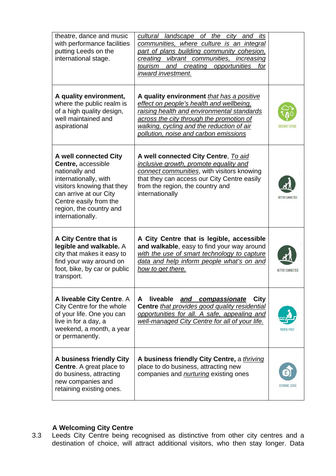| theatre, dance and music<br>with performance facilities<br>putting Leeds on the<br>international stage.                                                                                                                 | cultural landscape of the city and<br>its<br>communities, where culture is an integral<br>part of plans building community cohesion,<br>creating vibrant communities, increasing<br>creating<br>tourism<br>and<br>opportunities<br>for<br>inward investment.          |                         |
|-------------------------------------------------------------------------------------------------------------------------------------------------------------------------------------------------------------------------|-----------------------------------------------------------------------------------------------------------------------------------------------------------------------------------------------------------------------------------------------------------------------|-------------------------|
| A quality environment,<br>where the public realm is<br>of a high quality design,<br>well maintained and<br>aspirational                                                                                                 | A quality environment that has a positive<br>effect on people's health and wellbeing,<br>raising health and environmental standards<br>across the city through the promotion of<br>walking, cycling and the reduction of air<br>pollution, noise and carbon emissions |                         |
| A well connected City<br>Centre, accessible<br>nationally and<br>internationally, with<br>visitors knowing that they<br>can arrive at our City<br>Centre easily from the<br>region, the country and<br>internationally. | A well connected City Centre, To aid<br>inclusive growth, promote equality and<br>connect communities, with visitors knowing<br>that they can access our City Centre easily<br>from the region, the country and<br>internationally                                    | RETTER CONNECTED        |
| A City Centre that is<br>legible and walkable. A<br>city that makes it easy to<br>find your way around on<br>foot, bike, by car or public<br>transport.                                                                 | A City Centre that is legible, accessible<br>and walkable, easy to find your way around<br>with the use of smart technology to capture<br>data and help inform people what's on and<br>how to get there.                                                              | <b>BETTER CONNECTED</b> |
| A liveable City Centre. A<br>City Centre for the whole<br>of your life. One you can<br>live in for a day, a<br>weekend, a month, a year<br>or permanently.                                                              | <b>liveable</b><br>and compassionate<br>A<br>City<br>Centre that provides good quality residential<br>opportunities for all. A safe, appealing and<br>well-managed City Centre for all of your life.                                                                  |                         |
| A business friendly City<br><b>Centre.</b> A great place to<br>do business, attracting<br>new companies and<br>retaining existing ones.                                                                                 | A business friendly City Centre, a thriving<br>place to do business, attracting new<br>companies and <i>nurturing</i> existing ones                                                                                                                                   | ECONOMIC SENSE          |

### **A Welcoming City Centre**

3.3 Leeds City Centre being recognised as distinctive from other city centres and a destination of choice, will attract additional visitors, who then stay longer. Data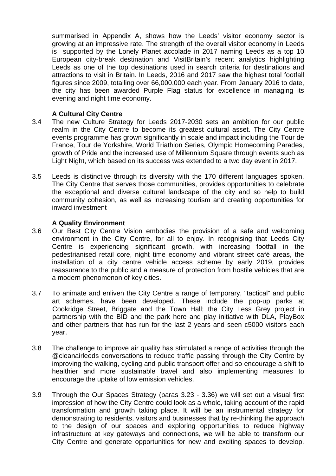summarised in Appendix A, shows how the Leeds' visitor economy sector is growing at an impressive rate. The strength of the overall visitor economy in Leeds is supported by the Lonely Planet accolade in 2017 naming Leeds as a top 10 European city-break destination and VisitBritain's recent analytics highlighting Leeds as one of the top destinations used in search criteria for destinations and attractions to visit in Britain. In Leeds, 2016 and 2017 saw the highest total footfall figures since 2009, totalling over 66,000,000 each year. From January 2016 to date, the city has been awarded Purple Flag status for excellence in managing its evening and night time economy.

### **A Cultural City Centre**

- 3.4 The new Culture Strategy for Leeds 2017-2030 sets an ambition for our public realm in the City Centre to become its greatest cultural asset. The City Centre events programme has grown significantly in scale and impact including the Tour de France, Tour de Yorkshire, World Triathlon Series, Olympic Homecoming Parades, growth of Pride and the increased use of Millennium Square through events such as Light Night, which based on its success was extended to a two day event in 2017.
- 3.5 Leeds is distinctive through its diversity with the 170 different languages spoken. The City Centre that serves those communities, provides opportunities to celebrate the exceptional and diverse cultural landscape of the city and so help to build community cohesion, as well as increasing tourism and creating opportunities for inward investment

#### **A Quality Environment**

- 3.6 Our Best City Centre Vision embodies the provision of a safe and welcoming environment in the City Centre, for all to enjoy. In recognising that Leeds City Centre is experiencing significant growth, with increasing footfall in the pedestrianised retail core, night time economy and vibrant street café areas, the installation of a city centre vehicle access scheme by early 2019, provides reassurance to the public and a measure of protection from hostile vehicles that are a modern phenomenon of key cities.
- 3.7 To animate and enliven the City Centre a range of temporary, "tactical" and public art schemes, have been developed. These include the pop-up parks at Cookridge Street, Briggate and the Town Hall; the City Less Grey project in partnership with the BID and the park here and play initiative with DLA, PlayBox and other partners that has run for the last 2 years and seen c5000 visitors each year.
- 3.8 The challenge to improve air quality has stimulated a range of activities through the @cleanairleeds conversations to reduce traffic passing through the City Centre by improving the walking, cycling and public transport offer and so encourage a shift to healthier and more sustainable travel and also implementing measures to encourage the uptake of low emission vehicles.
- 3.9 Through the Our Spaces Strategy (paras 3.23 3.36) we will set out a visual first impression of how the City Centre could look as a whole, taking account of the rapid transformation and growth taking place. It will be an instrumental strategy for demonstrating to residents, visitors and businesses that by re-thinking the approach to the design of our spaces and exploring opportunities to reduce highway infrastructure at key gateways and connections, we will be able to transform our City Centre and generate opportunities for new and exciting spaces to develop.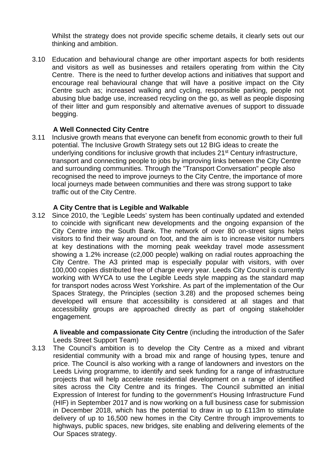Whilst the strategy does not provide specific scheme details, it clearly sets out our thinking and ambition.

3.10 Education and behavioural change are other important aspects for both residents and visitors as well as businesses and retailers operating from within the City Centre. There is the need to further develop actions and initiatives that support and encourage real behavioural change that will have a positive impact on the City Centre such as; increased walking and cycling, responsible parking, people not abusing blue badge use, increased recycling on the go, as well as people disposing of their litter and gum responsibly and alternative avenues of support to dissuade begging.

## **A Well Connected City Centre**

3.11 Inclusive growth means that everyone can benefit from economic growth to their full potential. The Inclusive Growth Strategy sets out 12 BIG ideas to create the underlying conditions for inclusive growth that includes 21st Century infrastructure, transport and connecting people to jobs by improving links between the City Centre and surrounding communities. Through the "Transport Conversation" people also recognised the need to improve journeys to the City Centre, the importance of more local journeys made between communities and there was strong support to take traffic out of the City Centre.

## **A City Centre that is Legible and Walkable**

3.12 Since 2010, the 'Legible Leeds' system has been continually updated and extended to coincide with significant new developments and the ongoing expansion of the City Centre into the South Bank. The network of over 80 on-street signs helps visitors to find their way around on foot, and the aim is to increase visitor numbers at key destinations with the morning peak weekday travel mode assessment showing a 1.2% increase (c2,000 people) walking on radial routes approaching the City Centre. The A3 printed map is especially popular with visitors, with over 100,000 copies distributed free of charge every year. Leeds City Council is currently working with WYCA to use the Legible Leeds style mapping as the standard map for transport nodes across West Yorkshire. As part of the implementation of the Our Spaces Strategy, the Principles (section 3.28) and the proposed schemes being developed will ensure that accessibility is considered at all stages and that accessibility groups are approached directly as part of ongoing stakeholder engagement.

**A liveable and compassionate City Centre** (including the introduction of the Safer Leeds Street Support Team)

3.13 The Council's ambition is to develop the City Centre as a mixed and vibrant residential community with a broad mix and range of housing types, tenure and price. The Council is also working with a range of landowners and investors on the Leeds Living programme, to identify and seek funding for a range of infrastructure projects that will help accelerate residential development on a range of identified sites across the City Centre and its fringes. The Council submitted an initial Expression of Interest for funding to the government's Housing Infrastructure Fund (HIF) in September 2017 and is now working on a full business case for submission in December 2018, which has the potential to draw in up to £113m to stimulate delivery of up to 16,500 new homes in the City Centre through improvements to highways, public spaces, new bridges, site enabling and delivering elements of the Our Spaces strategy.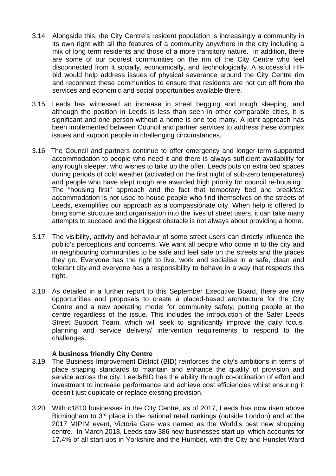- 3.14 Alongside this, the City Centre's resident population is increasingly a community in its own right with all the features of a community anywhere in the city including a mix of long term residents and those of a more transitory nature. In addition, there are some of our poorest communities on the rim of the City Centre who feel disconnected from it socially, economically, and technologically. A successful HIF bid would help address issues of physical severance around the City Centre rim and reconnect these communities to ensure that residents are not cut off from the services and economic and social opportunities available there.
- 3.15 Leeds has witnessed an increase in street begging and rough sleeping, and although the position in Leeds is less than seen in other comparable cities, it is significant and one person without a home is one too many. A joint approach has been implemented between Council and partner services to address these complex issues and support people in challenging circumstances.
- 3.16 The Council and partners continue to offer emergency and longer-term supported accommodation to people who need it and there is always sufficient availability for any rough sleeper, who wishes to take up the offer. Leeds puts on extra bed spaces during periods of cold weather (activated on the first night of sub-zero temperatures) and people who have slept rough are awarded high priority for council re-housing. The "housing first" approach and the fact that temporary bed and breakfast accommodation is not used to house people who find themselves on the streets of Leeds, exemplifies our approach as a compassionate city. When help is offered to bring some structure and organisation into the lives of street users, it can take many attempts to succeed and the biggest obstacle is not always about providing a home.
- 3.17 The visibility, activity and behaviour of some street users can directly influence the public's perceptions and concerns. We want all people who come in to the city and in neighbouring communities to be safe and feel safe on the streets and the places they go. Everyone has the right to live, work and socialise in a safe, clean and tolerant city and everyone has a responsibility to behave in a way that respects this right.
- 3.18 As detailed in a further report to this September Executive Board, there are new opportunities and proposals to create a placed-based architecture for the City Centre and a new operating model for community safety, putting people at the centre regardless of the issue. This includes the introduction of the Safer Leeds Street Support Team, which will seek to significantly improve the daily focus, planning and service delivery/ intervention requirements to respond to the challenges.

### **A business friendly City Centre**

- 3.19 The Business Improvement District (BID) reinforces the city's ambitions in terms of place shaping standards to maintain and enhance the quality of provision and service across the city. LeedsBID has the ability through co-ordination of effort and investment to increase performance and achieve cost efficiencies whilst ensuring it doesn't just duplicate or replace existing provision.
- 3.20 With c1810 businesses in the City Centre, as of 2017, Leeds has now risen above Birmingham to 3rd place in the national retail rankings (outside London) and at the 2017 MIPIM event, Victoria Gate was named as the World's best new shopping centre. In March 2018, Leeds saw 386 new businesses start up, which accounts for 17.4% of all start-ups in Yorkshire and the Humber, with the City and Hunslet Ward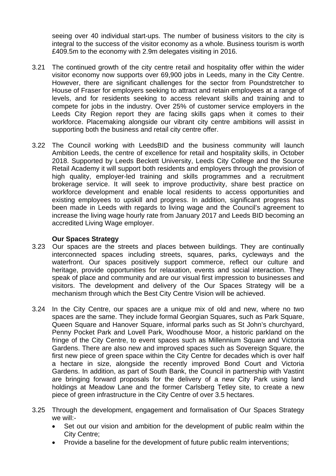seeing over 40 individual start-ups. The number of business visitors to the city is integral to the success of the visitor economy as a whole. Business tourism is worth £409.5m to the economy with 2.9m delegates visiting in 2016.

- 3.21 The continued growth of the city centre retail and hospitality offer within the wider visitor economy now supports over 69,900 jobs in Leeds, many in the City Centre. However, there are significant challenges for the sector from Poundstretcher to House of Fraser for employers seeking to attract and retain employees at a range of levels, and for residents seeking to access relevant skills and training and to compete for jobs in the industry. Over 25% of customer service employers in the Leeds City Region report they are facing skills gaps when it comes to their workforce. Placemaking alongside our vibrant city centre ambitions will assist in supporting both the business and retail city centre offer.
- 3.22 The Council working with LeedsBID and the business community will launch Ambition Leeds, the centre of excellence for retail and hospitality skills, in October 2018. Supported by Leeds Beckett University, Leeds City College and the Source Retail Academy it will support both residents and employers through the provision of high quality, employer-led training and skills programmes and a recruitment brokerage service. It will seek to improve productivity, share best practice on workforce development and enable local residents to access opportunities and existing employees to upskill and progress. In addition, significant progress has been made in Leeds with regards to living wage and the Council's agreement to increase the living wage hourly rate from January 2017 and Leeds BID becoming an accredited Living Wage employer.

#### **Our Spaces Strategy**

- 3.23 Our spaces are the streets and places between buildings. They are continually interconnected spaces including streets, squares, parks, cycleways and the waterfront. Our spaces positively support commerce, reflect our culture and heritage, provide opportunities for relaxation, events and social interaction. They speak of place and community and are our visual first impression to businesses and visitors. The development and delivery of the Our Spaces Strategy will be a mechanism through which the Best City Centre Vision will be achieved.
- 3.24 In the City Centre, our spaces are a unique mix of old and new, where no two spaces are the same. They include formal Georgian Squares, such as Park Square, Queen Square and Hanover Square, informal parks such as St John's churchyard, Penny Pocket Park and Lovell Park, Woodhouse Moor, a historic parkland on the fringe of the City Centre, to event spaces such as Millennium Square and Victoria Gardens. There are also new and improved spaces such as Sovereign Square, the first new piece of green space within the City Centre for decades which is over half a hectare in size, alongside the recently improved Bond Court and Victoria Gardens. In addition, as part of South Bank, the Council in partnership with Vastint are bringing forward proposals for the delivery of a new City Park using land holdings at Meadow Lane and the former Carlsberg Tetley site, to create a new piece of green infrastructure in the City Centre of over 3.5 hectares.
- 3.25 Through the development, engagement and formalisation of Our Spaces Strategy we will:-
	- Set out our vision and ambition for the development of public realm within the City Centre;
	- Provide a baseline for the development of future public realm interventions;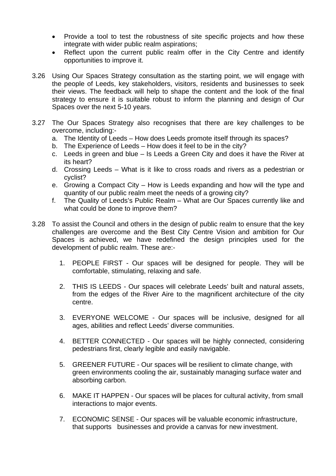- Provide a tool to test the robustness of site specific projects and how these integrate with wider public realm aspirations;
- Reflect upon the current public realm offer in the City Centre and identify opportunities to improve it.
- 3.26 Using Our Spaces Strategy consultation as the starting point, we will engage with the people of Leeds, key stakeholders, visitors, residents and businesses to seek their views. The feedback will help to shape the content and the look of the final strategy to ensure it is suitable robust to inform the planning and design of Our Spaces over the next 5-10 years.
- 3.27 The Our Spaces Strategy also recognises that there are key challenges to be overcome, including:
	- a. The Identity of Leeds How does Leeds promote itself through its spaces?
	- b. The Experience of Leeds How does it feel to be in the city?
	- c. Leeds in green and blue Is Leeds a Green City and does it have the River at its heart?
	- d. Crossing Leeds What is it like to cross roads and rivers as a pedestrian or cyclist?
	- e. Growing a Compact City How is Leeds expanding and how will the type and quantity of our public realm meet the needs of a growing city?
	- f. The Quality of Leeds's Public Realm What are Our Spaces currently like and what could be done to improve them?
- 3.28 To assist the Council and others in the design of public realm to ensure that the key challenges are overcome and the Best City Centre Vision and ambition for Our Spaces is achieved, we have redefined the design principles used for the development of public realm. These are:-
	- 1. PEOPLE FIRST Our spaces will be designed for people. They will be comfortable, stimulating, relaxing and safe.
	- 2. THIS IS LEEDS Our spaces will celebrate Leeds' built and natural assets, from the edges of the River Aire to the magnificent architecture of the city centre.
	- 3. EVERYONE WELCOME Our spaces will be inclusive, designed for all ages, abilities and reflect Leeds' diverse communities.
	- 4. BETTER CONNECTED Our spaces will be highly connected, considering pedestrians first, clearly legible and easily navigable.
	- 5. GREENER FUTURE Our spaces will be resilient to climate change, with green environments cooling the air, sustainably managing surface water and absorbing carbon.
	- 6. MAKE IT HAPPEN Our spaces will be places for cultural activity, from small interactions to major events.
	- 7. ECONOMIC SENSE Our spaces will be valuable economic infrastructure, that supports businesses and provide a canvas for new investment.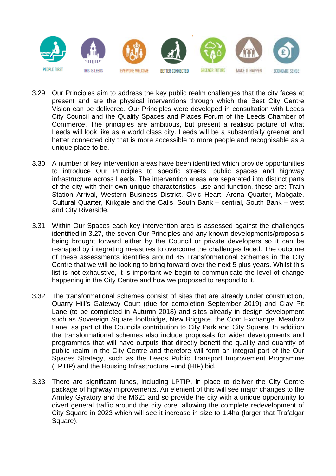

- 3.29 Our Principles aim to address the key public realm challenges that the city faces at present and are the physical interventions through which the Best City Centre Vision can be delivered. Our Principles were developed in consultation with Leeds City Council and the Quality Spaces and Places Forum of the Leeds Chamber of Commerce. The principles are ambitious, but present a realistic picture of what Leeds will look like as a world class city. Leeds will be a substantially greener and better connected city that is more accessible to more people and recognisable as a unique place to be.
- 3.30 A number of key intervention areas have been identified which provide opportunities to introduce Our Principles to specific streets, public spaces and highway infrastructure across Leeds. The intervention areas are separated into distinct parts of the city with their own unique characteristics, use and function, these are: Train Station Arrival, Western Business District, Civic Heart, Arena Quarter, Mabgate, Cultural Quarter, Kirkgate and the Calls, South Bank – central, South Bank – west and City Riverside.
- 3.31 Within Our Spaces each key intervention area is assessed against the challenges identified in 3.27, the seven Our Principles and any known developments/proposals being brought forward either by the Council or private developers so it can be reshaped by integrating measures to overcome the challenges faced. The outcome of these assessments identifies around 45 Transformational Schemes in the City Centre that we will be looking to bring forward over the next 5 plus years. Whilst this list is not exhaustive, it is important we begin to communicate the level of change happening in the City Centre and how we proposed to respond to it.
- 3.32 The transformational schemes consist of sites that are already under construction, Quarry Hill's Gateway Court (due for completion September 2019) and Clay Pit Lane (to be completed in Autumn 2018) and sites already in design development such as Sovereign Square footbridge, New Briggate, the Corn Exchange, Meadow Lane, as part of the Councils contribution to City Park and City Square. In addition the transformational schemes also include proposals for wider developments and programmes that will have outputs that directly benefit the quality and quantity of public realm in the City Centre and therefore will form an integral part of the Our Spaces Strategy, such as the Leeds Public Transport Improvement Programme (LPTIP) and the Housing Infrastructure Fund (HIF) bid.
- 3.33 There are significant funds, including LPTIP, in place to deliver the City Centre package of highway improvements. An element of this will see major changes to the Armley Gyratory and the M621 and so provide the city with a unique opportunity to divert general traffic around the city core, allowing the complete redevelopment of City Square in 2023 which will see it increase in size to 1.4ha (larger that Trafalgar Square).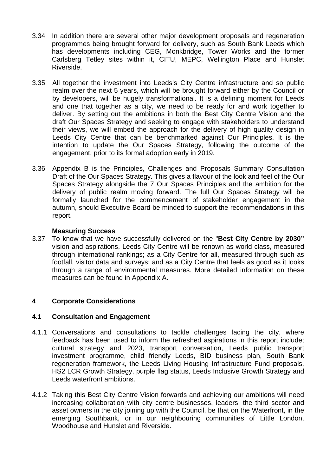- 3.34 In addition there are several other major development proposals and regeneration programmes being brought forward for delivery, such as South Bank Leeds which has developments including CEG, Monkbridge, Tower Works and the former Carlsberg Tetley sites within it, CITU, MEPC, Wellington Place and Hunslet Riverside.
- 3.35 All together the investment into Leeds's City Centre infrastructure and so public realm over the next 5 years, which will be brought forward either by the Council or by developers, will be hugely transformational. It is a defining moment for Leeds and one that together as a city, we need to be ready for and work together to deliver. By setting out the ambitions in both the Best City Centre Vision and the draft Our Spaces Strategy and seeking to engage with stakeholders to understand their views, we will embed the approach for the delivery of high quality design in Leeds City Centre that can be benchmarked against Our Principles. It is the intention to update the Our Spaces Strategy, following the outcome of the engagement, prior to its formal adoption early in 2019.
- 3.36 Appendix B is the Principles, Challenges and Proposals Summary Consultation Draft of the Our Spaces Strategy. This gives a flavour of the look and feel of the Our Spaces Strategy alongside the 7 Our Spaces Principles and the ambition for the delivery of public realm moving forward. The full Our Spaces Strategy will be formally launched for the commencement of stakeholder engagement in the autumn, should Executive Board be minded to support the recommendations in this report.

### **Measuring Success**

3.37 To know that we have successfully delivered on the "**Best City Centre by 2030"**  vision and aspirations, Leeds City Centre will be renown as world class, measured through international rankings; as a City Centre for all, measured through such as footfall, visitor data and surveys; and as a City Centre that feels as good as it looks through a range of environmental measures. More detailed information on these measures can be found in Appendix A.

### **4 Corporate Considerations**

### **4.1 Consultation and Engagement**

- 4.1.1 Conversations and consultations to tackle challenges facing the city, where feedback has been used to inform the refreshed aspirations in this report include; cultural strategy and 2023, transport conversation, Leeds public transport investment programme, child friendly Leeds, BID business plan, South Bank regeneration framework, the Leeds Living Housing Infrastructure Fund proposals, HS2 LCR Growth Strategy, purple flag status, Leeds Inclusive Growth Strategy and Leeds waterfront ambitions.
- 4.1.2 Taking this Best City Centre Vision forwards and achieving our ambitions will need increasing collaboration with city centre businesses, leaders, the third sector and asset owners in the city joining up with the Council, be that on the Waterfront, in the emerging Southbank, or in our neighbouring communities of Little London, Woodhouse and Hunslet and Riverside.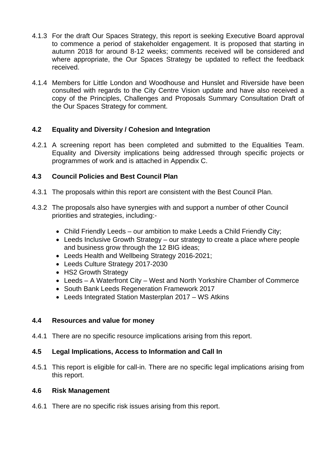- 4.1.3 For the draft Our Spaces Strategy, this report is seeking Executive Board approval to commence a period of stakeholder engagement. It is proposed that starting in autumn 2018 for around 8-12 weeks; comments received will be considered and where appropriate, the Our Spaces Strategy be updated to reflect the feedback received.
- 4.1.4 Members for Little London and Woodhouse and Hunslet and Riverside have been consulted with regards to the City Centre Vision update and have also received a copy of the Principles, Challenges and Proposals Summary Consultation Draft of the Our Spaces Strategy for comment.

# **4.2 Equality and Diversity / Cohesion and Integration**

4.2.1 A screening report has been completed and submitted to the Equalities Team. Equality and Diversity implications being addressed through specific projects or programmes of work and is attached in Appendix C.

# **4.3 Council Policies and Best Council Plan**

- 4.3.1 The proposals within this report are consistent with the Best Council Plan.
- 4.3.2 The proposals also have synergies with and support a number of other Council priorities and strategies, including:-
	- Child Friendly Leeds our ambition to make Leeds a Child Friendly City;
	- Leeds Inclusive Growth Strategy our strategy to create a place where people and business grow through the 12 BIG ideas;
	- Leeds Health and Wellbeing Strategy 2016-2021;
	- Leeds Culture Strategy 2017-2030
	- HS2 Growth Strategy
	- Leeds A Waterfront City West and North Yorkshire Chamber of Commerce
	- South Bank Leeds Regeneration Framework 2017
	- Leeds Integrated Station Masterplan 2017 WS Atkins

# **4.4 Resources and value for money**

4.4.1 There are no specific resource implications arising from this report.

# **4.5 Legal Implications, Access to Information and Call In**

4.5.1 This report is eligible for call-in. There are no specific legal implications arising from this report.

### **4.6 Risk Management**

4.6.1 There are no specific risk issues arising from this report.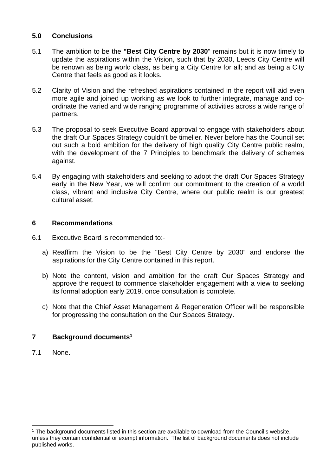## **5.0 Conclusions**

- 5.1 The ambition to be the **"Best City Centre by 2030**" remains but it is now timely to update the aspirations within the Vision, such that by 2030, Leeds City Centre will be renown as being world class, as being a City Centre for all; and as being a City Centre that feels as good as it looks.
- 5.2 Clarity of Vision and the refreshed aspirations contained in the report will aid even more agile and joined up working as we look to further integrate, manage and coordinate the varied and wide ranging programme of activities across a wide range of partners.
- 5.3 The proposal to seek Executive Board approval to engage with stakeholders about the draft Our Spaces Strategy couldn't be timelier. Never before has the Council set out such a bold ambition for the delivery of high quality City Centre public realm, with the development of the 7 Principles to benchmark the delivery of schemes against.
- 5.4 By engaging with stakeholders and seeking to adopt the draft Our Spaces Strategy early in the New Year, we will confirm our commitment to the creation of a world class, vibrant and inclusive City Centre, where our public realm is our greatest cultural asset.

### **6 Recommendations**

- 6.1 Executive Board is recommended to:
	- a) Reaffirm the Vision to be the "Best City Centre by 2030" and endorse the aspirations for the City Centre contained in this report.
	- b) Note the content, vision and ambition for the draft Our Spaces Strategy and approve the request to commence stakeholder engagement with a view to seeking its formal adoption early 2019, once consultation is complete.
	- c) Note that the Chief Asset Management & Regeneration Officer will be responsible for progressing the consultation on the Our Spaces Strategy.

# **7 Background documents1**

7.1 None.

<sup>&</sup>lt;sup>1</sup> The background documents listed in this section are available to download from the Council's website, unless they contain confidential or exempt information. The list of background documents does not include published works.